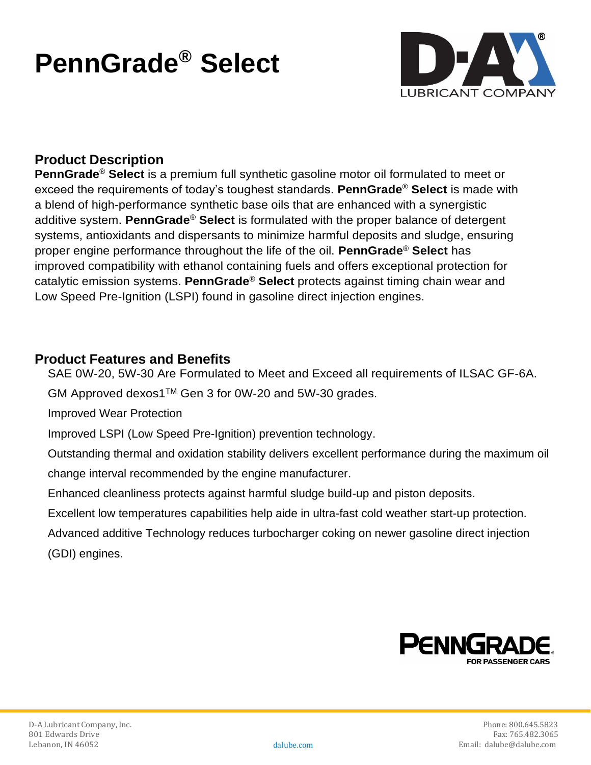# **PennGrade® Select**



# **Product Description**

**PennGrade**® **Select** is a premium full synthetic gasoline motor oil formulated to meet or exceed the requirements of today's toughest standards. **PennGrade**® **Select** is made with a blend of high-performance synthetic base oils that are enhanced with a synergistic additive system. **PennGrade**® **Select** is formulated with the proper balance of detergent systems, antioxidants and dispersants to minimize harmful deposits and sludge, ensuring proper engine performance throughout the life of the oil. **PennGrade**® **Select** has improved compatibility with ethanol containing fuels and offers exceptional protection for catalytic emission systems. **PennGrade**® **Select** protects against timing chain wear and Low Speed Pre-Ignition (LSPI) found in gasoline direct injection engines.

#### **Product Features and Benefits**

SAE 0W-20, 5W-30 Are Formulated to Meet and Exceed all requirements of ILSAC GF-6A.

GM Approved dexos1™ Gen 3 for 0W-20 and 5W-30 grades.

Improved Wear Protection

Improved LSPI (Low Speed Pre-Ignition) prevention technology.

Outstanding thermal and oxidation stability delivers excellent performance during the maximum oil change interval recommended by the engine manufacturer.

Enhanced cleanliness protects against harmful sludge build-up and piston deposits.

Excellent low temperatures capabilities help aide in ultra-fast cold weather start-up protection.

Advanced additive Technology reduces turbocharger coking on newer gasoline direct injection (GDI) engines.